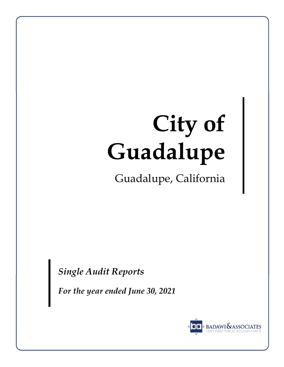# City of<br>Guadalupe

Guadalupe, California

*Single Audit Reports* 

*For the year ended June 30, 2021*

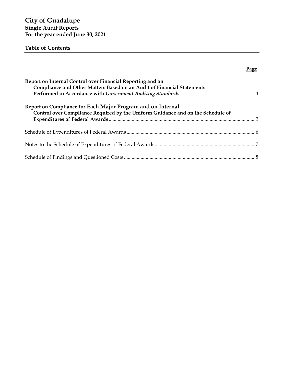# **Table of Contents**

| Report on Internal Control over Financial Reporting and on<br>Compliance and Other Matters Based on an Audit of Financial Statements           |  |
|------------------------------------------------------------------------------------------------------------------------------------------------|--|
| Report on Compliance for Each Major Program and on Internal<br>Control over Compliance Required by the Uniform Guidance and on the Schedule of |  |
|                                                                                                                                                |  |
|                                                                                                                                                |  |
|                                                                                                                                                |  |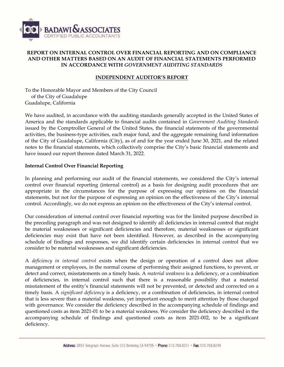

# **REPORT ON INTERNAL CONTROL OVER FINANCIAL REPORTING AND ON COMPLIANCE AND OTHER MATTERS BASED ON AN AUDIT OF FINANCIAL STATEMENTS PERFORMED IN ACCORDANCE WITH** *GOVERNMENT AUDITING STANDARDS*

#### **INDEPENDENT AUDITOR'S REPORT**

To the Honorable Mayor and Members of the City Council of the City of Guadalupe Guadalupe, California

We have audited, in accordance with the auditing standards generally accepted in the United States of America and the standards applicable to financial audits contained in *Government Auditing Standards* issued by the Comptroller General of the United States, the financial statements of the governmental activities, the business-type activities, each major fund, and the aggregate remaining fund information of the City of Guadalupe, California (City), as of and for the year ended June 30, 2021, and the related notes to the financial statements, which collectively comprise the City's basic financial statements and have issued our report thereon dated March 31, 2022.

### **Internal Control Over Financial Reporting**

In planning and performing our audit of the financial statements, we considered the City's internal control over financial reporting (internal control) as a basis for designing audit procedures that are appropriate in the circumstances for the purpose of expressing our opinions on the financial statements, but not for the purpose of expressing an opinion on the effectiveness of the City's internal control. Accordingly, we do not express an opinion on the effectiveness of the City's internal control.

Our consideration of internal control over financial reporting was for the limited purpose described in the preceding paragraph and was not designed to identify all deficiencies in internal control that might be material weaknesses or significant deficiencies and therefore, material weaknesses or significant deficiencies may exist that have not been identified. However, as described in the accompanying schedule of findings and responses, we did identify certain deficiencies in internal control that we consider to be material weaknesses and significant deficiencies.

A *deficiency in internal control* exists when the design or operation of a control does not allow management or employees, in the normal course of performing their assigned functions, to prevent, or detect and correct, misstatements on a timely basis. A *material weakness* is a deficiency, or a combination of deficiencies, in internal control such that there is a reasonable possibility that a material misstatement of the entity's financial statements will not be prevented, or detected and corrected on a timely basis. A *significant deficiency* is a deficiency, or a combination of deficiencies, in internal control that is less severe than a material weakness, yet important enough to merit attention by those charged with governance. We consider the deficiency described in the accompanying schedule of findings and questioned costs as item 2021-01 to be a material weakness. We consider the deficiency described in the accompanying schedule of findings and questioned costs as item 2021-002, to be a significant deficiency.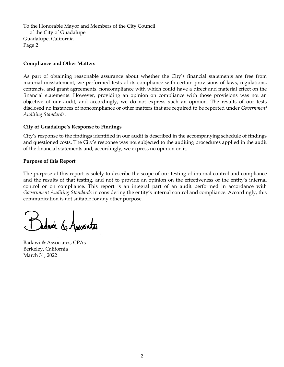To the Honorable Mayor and Members of the City Council of the City of Guadalupe Guadalupe, California Page 2

### **Compliance and Other Matters**

As part of obtaining reasonable assurance about whether the City's financial statements are free from material misstatement, we performed tests of its compliance with certain provisions of laws, regulations, contracts, and grant agreements, noncompliance with which could have a direct and material effect on the financial statements. However, providing an opinion on compliance with those provisions was not an objective of our audit, and accordingly, we do not express such an opinion. The results of our tests disclosed no instances of noncompliance or other matters that are required to be reported under *Government Auditing Standards*.

# **City of Guadalupe's Response to Findings**

City's response to the findings identified in our audit is described in the accompanying schedule of findings and questioned costs. The City's response was not subjected to the auditing procedures applied in the audit of the financial statements and, accordingly, we express no opinion on it.

### **Purpose of this Report**

The purpose of this report is solely to describe the scope of our testing of internal control and compliance and the results of that testing, and not to provide an opinion on the effectiveness of the entity's internal control or on compliance. This report is an integral part of an audit performed in accordance with *Government Auditing Standards* in considering the entity's internal control and compliance. Accordingly, this communication is not suitable for any other purpose.

Indavi & Associates

Badawi & Associates, CPAs Berkeley, California March 31, 2022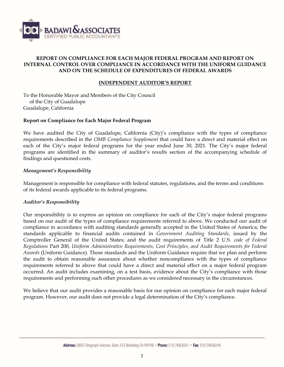

# **REPORT ON COMPLIANCE FOR EACH MAJOR FEDERAL PROGRAM AND REPORT ON INTERNAL CONTROL OVER COMPLIANCE IN ACCORDANCE WITH THE UNIFORM GUIDANCE AND ON THE SCHEDULE OF EXPENDITURES OF FEDERAL AWARDS**

### **INDEPENDENT AUDITOR'S REPORT**

To the Honorable Mayor and Members of the City Council of the City of Guadalupe Guadalupe, California

#### **Report on Compliance for Each Major Federal Program**

We have audited the City of Guadalupe, California (City)'s compliance with the types of compliance requirements described in the *OMB Compliance Supplement* that could have a direct and material effect on each of the City's major federal programs for the year ended June 30, 2021. The City's major federal programs are identified in the summary of auditor's results section of the accompanying schedule of findings and questioned costs.

#### *Management's Responsibility*

Management is responsible for compliance with federal statutes, regulations, and the terms and conditions of its federal awards applicable to its federal programs.

#### *Auditor's Responsibility*

Our responsibility is to express an opinion on compliance for each of the City's major federal programs based on our audit of the types of compliance requirements referred to above. We conducted our audit of compliance in accordance with auditing standards generally accepted in the United States of America; the standards applicable to financial audits contained in *Government Auditing Standards*, issued by the Comptroller General of the United States; and the audit requirements of Title 2 U.S. *code of Federal Regulations* Part 200, *Uniform Administrative Requirements, Cost Principles, and Audit Requirements for Federal Awards* (Uniform Guidance). Those standards and the Uniform Guidance require that we plan and perform the audit to obtain reasonable assurance about whether noncompliance with the types of compliance requirements referred to above that could have a direct and material effect on a major federal program occurred. An audit includes examining, on a test basis, evidence about the City's compliance with those requirements and performing such other procedures as we considered necessary in the circumstances.

We believe that our audit provides a reasonable basis for our opinion on compliance for each major federal program. However, our audit does not provide a legal determination of the City's compliance.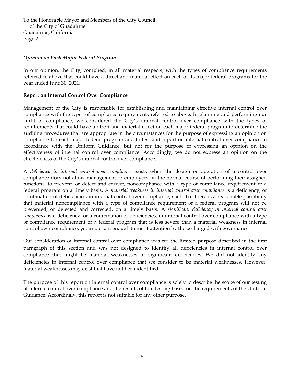To the Honorable Mayor and Members of the City Council of the City of Guadalupe Guadalupe, California Page 2

### *Opinion on Each Major Federal Program*

In our opinion, the City, complied, in all material respects, with the types of compliance requirements referred to above that could have a direct and material effect on each of its major federal programs for the year ended June 30, 2021.

# **Report on Internal Control Over Compliance**

Management of the City is responsible for establishing and maintaining effective internal control over compliance with the types of compliance requirements referred to above. In planning and performing our audit of compliance, we considered the City's internal control over compliance with the types of requirements that could have a direct and material effect on each major federal program to determine the auditing procedures that are appropriate in the circumstances for the purpose of expressing an opinion on compliance for each major federal program and to test and report on internal control over compliance in accordance with the Uniform Guidance, but not for the purpose of expressing an opinion on the effectiveness of internal control over compliance. Accordingly, we do not express an opinion on the effectiveness of the City's internal control over compliance.

A *deficiency in internal control over compliance* exists when the design or operation of a control over compliance does not allow management or employees, in the normal course of performing their assigned functions, to prevent, or detect and correct, noncompliance with a type of compliance requirement of a federal program on a timely basis. A *material weakness in internal control over compliance* is a deficiency, or combination of deficiencies, in internal control over compliance, such that there is a reasonable possibility that material noncompliance with a type of compliance requirement of a federal program will not be prevented, or detected and corrected, on a timely basis. A *significant deficiency in internal control over compliance* is a deficiency, or a combination of deficiencies, in internal control over compliance with a type of compliance requirement of a federal program that is less severe than a material weakness in internal control over compliance, yet important enough to merit attention by those charged with governance.

Our consideration of internal control over compliance was for the limited purpose described in the first paragraph of this section and was not designed to identify all deficiencies in internal control over compliance that might be material weaknesses or significant deficiencies. We did not identify any deficiencies in internal control over compliance that we consider to be material weaknesses. However, material weaknesses may exist that have not been identified.

The purpose of this report on internal control over compliance is solely to describe the scope of our testing of internal control over compliance and the results of that testing based on the requirements of the Uniform Guidance. Accordingly, this report is not suitable for any other purpose.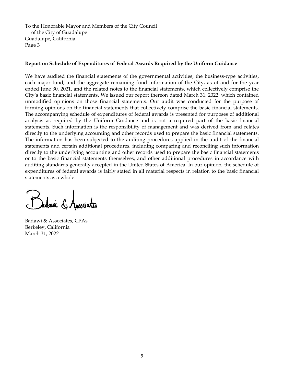To the Honorable Mayor and Members of the City Council of the City of Guadalupe Guadalupe, California Page 3

#### **Report on Schedule of Expenditures of Federal Awards Required by the Uniform Guidance**

We have audited the financial statements of the governmental activities, the business-type activities, each major fund, and the aggregate remaining fund information of the City, as of and for the year ended June 30, 2021, and the related notes to the financial statements, which collectively comprise the City's basic financial statements. We issued our report thereon dated March 31, 2022, which contained unmodified opinions on those financial statements. Our audit was conducted for the purpose of forming opinions on the financial statements that collectively comprise the basic financial statements. The accompanying schedule of expenditures of federal awards is presented for purposes of additional analysis as required by the Uniform Guidance and is not a required part of the basic financial statements. Such information is the responsibility of management and was derived from and relates directly to the underlying accounting and other records used to prepare the basic financial statements. The information has been subjected to the auditing procedures applied in the audit of the financial statements and certain additional procedures, including comparing and reconciling such information directly to the underlying accounting and other records used to prepare the basic financial statements or to the basic financial statements themselves, and other additional procedures in accordance with auditing standards generally accepted in the United States of America. In our opinion, the schedule of expenditures of federal awards is fairly stated in all material respects in relation to the basic financial statements as a whole.

Indone & Associates

Badawi & Associates, CPAs Berkeley, California March 31, 2022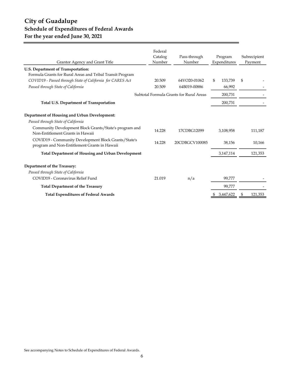# **City of Guadalupe Schedule of Expenditures of Federal Awards**

**For the year ended June 30, 2021**

| Grantor Agency and Grant Title                                                                       | Federal<br>Catalog<br>Number | Pass-through<br>Number | Program<br>Expenditures | Subrecipient<br>Payment |
|------------------------------------------------------------------------------------------------------|------------------------------|------------------------|-------------------------|-------------------------|
| U.S. Department of Transportation:                                                                   |                              |                        |                         |                         |
| Formula Grants for Rural Areas and Tribal Transit Program                                            |                              |                        |                         |                         |
| COVID19 - Passed through State of California for CARES Act                                           | 20.509                       | 64VO20-01062           | \$<br>133,739           | \$                      |
| Passed through State of California                                                                   | 20.509                       | 64B019-00886           | 66,992                  |                         |
| Subtotal Formula Grants for Rural Areas                                                              |                              |                        | 200,731                 |                         |
| Total U.S. Department of Transportation                                                              |                              |                        | 200,731                 |                         |
| Department of Housing and Urban Development:                                                         |                              |                        |                         |                         |
| Passed through State of California                                                                   |                              |                        |                         |                         |
| Community Development Block Grants/State's program and<br>Non-Entitlement Grants in Hawaii           | 14.228                       | 17CDBG12099            | 3,108,958               | 111,187                 |
| COVID19 - Community Development Block Grants/State's<br>program and Non-Entitlement Grants in Hawaii | 14.228                       | 20CDBGCV100085         | 38,156                  | 10,166                  |
| <b>Total Department of Housing and Urban Development</b>                                             |                              |                        | 3,147,114               | 121,353                 |
| Department of the Treasury:                                                                          |                              |                        |                         |                         |
| Passed through State of California                                                                   |                              |                        |                         |                         |
| COVID19 - Coronavirus Relief Fund                                                                    | 21.019                       | n/a                    | 99,777                  |                         |
| <b>Total Department of the Treasury</b>                                                              |                              |                        | 99,777                  |                         |
| <b>Total Expenditures of Federal Awards</b>                                                          |                              |                        | \$3,447,622             | 121,353                 |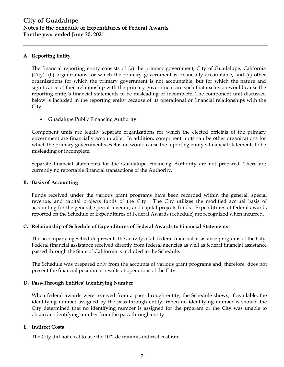# **City of Guadalupe Notes to the Schedule of Expenditures of Federal Awards For the year ended June 30, 2021**

# **A. Reporting Entity**

The financial reporting entity consists of (a) the primary government, City of Guadalupe, California (City), (b) organizations for which the primary government is financially accountable, and (c) other organizations for which the primary government is not accountable, but for which the nature and significance of their relationship with the primary government are such that exclusion would cause the reporting entity's financial statements to be misleading or incomplete. The component unit discussed below is included in the reporting entity because of its operational or financial relationships with the City.

Guadalupe Public Financing Authority

Component units are legally separate organizations for which the elected officials of the primary government are financially accountable. In addition, component units can be other organizations for which the primary government's exclusion would cause the reporting entity's financial statements to be misleading or incomplete.

Separate financial statements for the Guadalupe Financing Authority are not prepared. There are currently no reportable financial transactions of the Authority.

#### **B. Basis of Accounting**

Funds received under the various grant programs have been recorded within the general, special revenue, and capital projects funds of the City. The City utilizes the modified accrual basis of accounting for the general, special revenue, and capital projects funds. Expenditures of federal awards reported on the Schedule of Expenditures of Federal Awards (Schedule) are recognized when incurred.

### **C. Relationship of Schedule of Expenditures of Federal Awards to Financial Statements**

The accompanying Schedule presents the activity of all federal financial assistance programs of the City. Federal financial assistance received directly from federal agencies as well as federal financial assistance passed through the State of California is included in the Schedule.

The Schedule was prepared only from the accounts of various grant programs and, therefore, does not present the financial position or results of operations of the City.

### **D. Pass-Through Entities' Identifying Number**

When federal awards were received from a pass-through entity, the Schedule shows, if available, the identifying number assigned by the pass-through entity. When no identifying number is shown, the City determined that no identifying number is assigned for the program or the City was unable to obtain an identifying number from the pass-through entity.

#### **E. Indirect Costs**

The City did not elect to use the 10% de minimis indirect cost rate.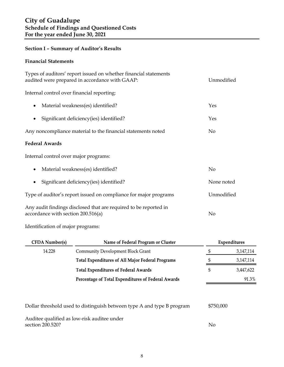# **Section I – Summary of Auditor's Results**

#### **Financial Statements**

| Types of auditors' report issued on whether financial statements<br>audited were prepared in accordance with GAAP: | Unmodified     |
|--------------------------------------------------------------------------------------------------------------------|----------------|
| Internal control over financial reporting:                                                                         |                |
| Material weakness(es) identified?                                                                                  | Yes            |
| Significant deficiency(ies) identified?                                                                            | Yes            |
| Any noncompliance material to the financial statements noted                                                       | No             |
| <b>Federal Awards</b>                                                                                              |                |
| Internal control over major programs:                                                                              |                |
| Material weakness(es) identified?                                                                                  | N <sub>o</sub> |
| Significant deficiency(ies) identified?                                                                            | None noted     |
| Type of auditor's report issued on compliance for major programs                                                   | Unmodified     |
| Any audit findings disclosed that are required to be reported in<br>accordance with section 200.516(a)             | No             |

Identification of major programs:

| <b>CFDA</b> Number(s) | Name of Federal Program or Cluster                                     |           | Expenditures |
|-----------------------|------------------------------------------------------------------------|-----------|--------------|
| 14.228                | <b>Community Development Block Grant</b>                               |           | 3, 147, 114  |
|                       | <b>Total Expenditures of All Major Federal Programs</b>                |           | 3,147,114    |
|                       | <b>Total Expenditures of Federal Awards</b>                            | \$        | 3,447,622    |
|                       | Percentage of Total Expenditures of Federal Awards                     |           | 91.3%        |
|                       |                                                                        |           |              |
|                       | Dollar threshold used to distinguish between type A and type B program | \$750,000 |              |
|                       | Auditoo qualified as low risk auditoo under                            |           |              |

Auditee qualified as low-risk auditee under section 200.520? No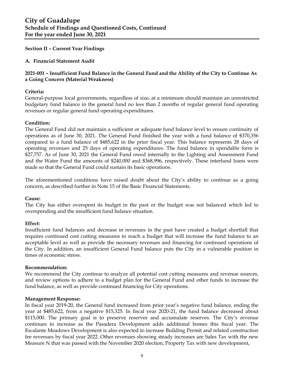# **Section II – Current Year Findings**

# **A. Financial Statement Audit**

# **2021-001 – Insufficient Fund Balance in the General Fund and the Ability of the City to Continue As a Going Concern (Material Weakness)**

# **Criteria:**

General-purpose local governments, regardless of size, at a minimum should maintain an unrestricted budgetary fund balance in the general fund no less than 2 months of regular general fund operating revenues or regular general fund operating expenditures.

### **Condition:**

The General Fund did not maintain a sufficient or adequate fund balance level to ensure continuity of operations as of June 30, 2021. The General Fund finished the year with a fund balance of \$370,356 compared to a fund balance of \$485,622 in the prior fiscal year. This balance represents 28 days of operating revenues and 25 days of operating expenditures. The fund balance in spendable form is \$27,757. As of June 30, 2021 the General Fund owed internally to the Lighting and Assessment Fund and the Water Fund the amounts of \$240,000 and \$368,996, respectively. These interfund loans were made so that the General Fund could sustain its basic operations.

The aforementioned conditions have raised doubt about the City's ability to continue as a going concern, as described further in Note 15 of the Basic Financial Statements.

### **Cause:**

The City has either overspent its budget in the past or the budget was not balanced which led to overspending and the insufficient fund balance situation.

#### **Effect:**

Insufficient fund balances and decrease in revenues in the past have created a budget shortfall that requires continued cost cutting measures to reach a budget that will increase the fund balance to an acceptable level as well as provide the necessary revenues and financing for continued operations of the City. In addition, an insufficient General Fund balance puts the City in a vulnerable position in times of economic stress.

#### **Recommendation:**

We recommend the City continue to analyze all potential cost cutting measures and revenue sources, and review options to adhere to a budget plan for the General Fund and other funds to increase the fund balance, as well as provide continued financing for City operations.

#### **Management Response:**

In fiscal year 2019-20, the General fund increased from prior year's negative fund balance, ending the year at \$485,622, from a negative \$15,325. In fiscal year 2020-21, the fund balance decreased about \$115,000. The primary goal is to preserve reserves and accumulate reserves. The City's revenue continues to increase as the Pasadera Development adds additional homes this fiscal year. The Escalante Meadows Development is also expected to increase Building Permit and related construction fee revenues by fiscal year 2022. Other revenues showing steady increases are Sales Tax with the new Measure N that was passed with the November 2020 election, Property Tax with new development,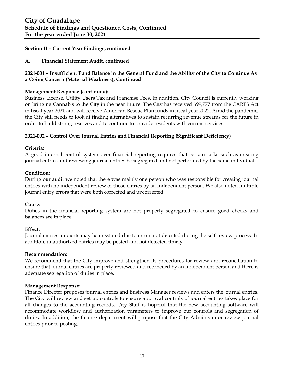# **Section II – Current Year Findings, continued**

#### **A. Financial Statement Audit, continued**

# **2021-001 – Insufficient Fund Balance in the General Fund and the Ability of the City to Continue As a Going Concern (Material Weakness), Continued**

#### **Management Response (continued):**

Business License, Utility Users Tax and Franchise Fees. In addition, City Council is currently working on bringing Cannabis to the City in the near future. The City has received \$99,777 from the CARES Act in fiscal year 2021 and will receive American Rescue Plan funds in fiscal year 2022. Amid the pandemic, the City still needs to look at finding alternatives to sustain recurring revenue streams for the future in order to build strong reserves and to continue to provide residents with current services.

#### **2021-002 – Control Over Journal Entries and Financial Reporting (Significant Deficiency)**

#### **Criteria:**

A good internal control system over financial reporting requires that certain tasks such as creating journal entries and reviewing journal entries be segregated and not performed by the same individual.

#### **Condition:**

During our audit we noted that there was mainly one person who was responsible for creating journal entries with no independent review of those entries by an independent person. We also noted multiple journal entry errors that were both corrected and uncorrected.

#### **Cause:**

Duties in the financial reporting system are not properly segregated to ensure good checks and balances are in place.

#### **Effect:**

Journal entries amounts may be misstated due to errors not detected during the self-review process. In addition, unauthorized entries may be posted and not detected timely.

#### **Recommendation:**

We recommend that the City improve and strengthen its procedures for review and reconciliation to ensure that journal entries are properly reviewed and reconciled by an independent person and there is adequate segregation of duties in place.

#### **Management Response:**

Finance Director proposes journal entries and Business Manager reviews and enters the journal entries. The City will review and set up controls to ensure approval controls of journal entries takes place for all changes to the accounting records. City Staff is hopeful that the new accounting software will accommodate workflow and authorization parameters to improve our controls and segregation of duties. In addition, the finance department will propose that the City Administrator review journal entries prior to posting.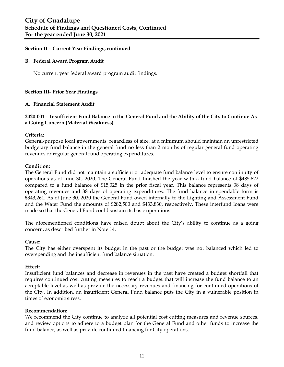#### **Section II – Current Year Findings, continued**

#### **B. Federal Award Program Audit**

No current year federal award program audit findings.

#### **Section III- Prior Year Findings**

#### **A. Financial Statement Audit**

# **2020-001 – Insufficient Fund Balance in the General Fund and the Ability of the City to Continue As a Going Concern (Material Weakness)**

#### **Criteria:**

General-purpose local governments, regardless of size, at a minimum should maintain an unrestricted budgetary fund balance in the general fund no less than 2 months of regular general fund operating revenues or regular general fund operating expenditures.

#### **Condition:**

The General Fund did not maintain a sufficient or adequate fund balance level to ensure continuity of operations as of June 30, 2020. The General Fund finished the year with a fund balance of \$485,622 compared to a fund balance of \$15,325 in the prior fiscal year. This balance represents 38 days of operating revenues and 38 days of operating expenditures. The fund balance in spendable form is \$343,261. As of June 30, 2020 the General Fund owed internally to the Lighting and Assessment Fund and the Water Fund the amounts of \$282,500 and \$433,830, respectively. These interfund loans were made so that the General Fund could sustain its basic operations.

The aforementioned conditions have raised doubt about the City's ability to continue as a going concern, as described further in Note 14.

#### **Cause:**

The City has either overspent its budget in the past or the budget was not balanced which led to overspending and the insufficient fund balance situation.

#### **Effect:**

Insufficient fund balances and decrease in revenues in the past have created a budget shortfall that requires continued cost cutting measures to reach a budget that will increase the fund balance to an acceptable level as well as provide the necessary revenues and financing for continued operations of the City. In addition, an insufficient General Fund balance puts the City in a vulnerable position in times of economic stress.

#### **Recommendation:**

We recommend the City continue to analyze all potential cost cutting measures and revenue sources, and review options to adhere to a budget plan for the General Fund and other funds to increase the fund balance, as well as provide continued financing for City operations.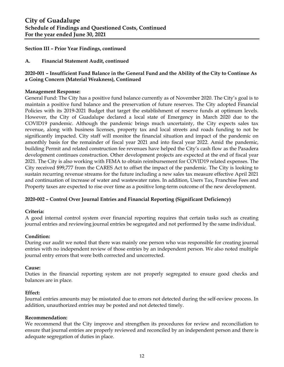# **Section III – Prior Year Findings, continued**

### **A. Financial Statement Audit, continued**

# **2020-001 – Insufficient Fund Balance in the General Fund and the Ability of the City to Continue As a Going Concern (Material Weakness), Continued**

#### **Management Response:**

General Fund: The City has a positive fund balance currently as of November 2020. The City's goal is to maintain a positive fund balance and the preservation of future reserves. The City adopted Financial Policies with its 2019-2021 Budget that target the establishment of reserve funds at optimum levels. However, the City of Guadalupe declared a local state of Emergency in March 2020 due to the COVID19 pandemic. Although the pandemic brings much uncertainty, the City expects sales tax revenue, along with business licenses, property tax and local streets and roads funding to not be significantly impacted. City staff will monitor the financial situation and impact of the pandemic on amonthly basis for the remainder of fiscal year 2021 and into fiscal year 2022. Amid the pandemic, building Permit and related construction fee revenues have helped the City's cash flow as the Pasadera development continues construction. Other development projects are expected at the end of fiscal year 2021. The City is also working with FEMA to obtain reimbursement for COVID19 related expenses. The City received \$99,777 from the CARES Act to offset the impact of the pandemic. The City is looking to sustain recurring revenue streams for the future including a new sales tax measure effective April 2021 and continuation of increase of water and wastewater rates. In addition, Users Tax, Franchise Fees and Property taxes are expected to rise over time as a positive long-term outcome of the new development.

### **2020-002 – Control Over Journal Entries and Financial Reporting (Significant Deficiency)**

### **Criteria:**

A good internal control system over financial reporting requires that certain tasks such as creating journal entries and reviewing journal entries be segregated and not performed by the same individual.

### **Condition:**

During our audit we noted that there was mainly one person who was responsible for creating journal entries with no independent review of those entries by an independent person. We also noted multiple journal entry errors that were both corrected and uncorrected.

#### **Cause:**

Duties in the financial reporting system are not properly segregated to ensure good checks and balances are in place.

#### **Effect:**

Journal entries amounts may be misstated due to errors not detected during the self-review process. In addition, unauthorized entries may be posted and not detected timely.

### **Recommendation:**

We recommend that the City improve and strengthen its procedures for review and reconciliation to ensure that journal entries are properly reviewed and reconciled by an independent person and there is adequate segregation of duties in place.